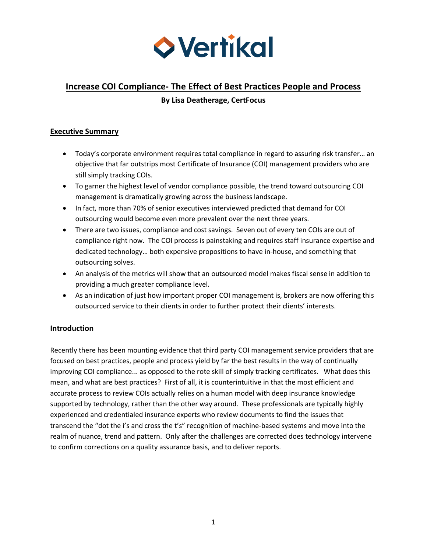

# **Increase COI Compliance- The Effect of Best Practices People and Process By Lisa Deatherage, CertFocus**

## **Executive Summary**

- Today's corporate environment requires total compliance in regard to assuring risk transfer… an objective that far outstrips most Certificate of Insurance (COI) management providers who are still simply tracking COIs.
- To garner the highest level of vendor compliance possible, the trend toward outsourcing COI management is dramatically growing across the business landscape.
- In fact, more than 70% of senior executives interviewed predicted that demand for COI outsourcing would become even more prevalent over the next three years.
- There are two issues, compliance and cost savings. Seven out of every ten COIs are out of compliance right now. The COI process is painstaking and requires staff insurance expertise and dedicated technology… both expensive propositions to have in-house, and something that outsourcing solves.
- An analysis of the metrics will show that an outsourced model makes fiscal sense in addition to providing a much greater compliance level.
- As an indication of just how important proper COI management is, brokers are now offering this outsourced service to their clients in order to further protect their clients' interests.

# **Introduction**

Recently there has been mounting evidence that third party COI management service providers that are focused on best practices, people and process yield by far the best results in the way of continually improving COI compliance... as opposed to the rote skill of simply tracking certificates. What does this mean, and what are best practices? First of all, it is counterintuitive in that the most efficient and accurate process to review COIs actually relies on a human model with deep insurance knowledge supported by technology, rather than the other way around. These professionals are typically highly experienced and credentialed insurance experts who review documents to find the issues that transcend the "dot the i's and cross the t's" recognition of machine-based systems and move into the realm of nuance, trend and pattern. Only after the challenges are corrected does technology intervene to confirm corrections on a quality assurance basis, and to deliver reports.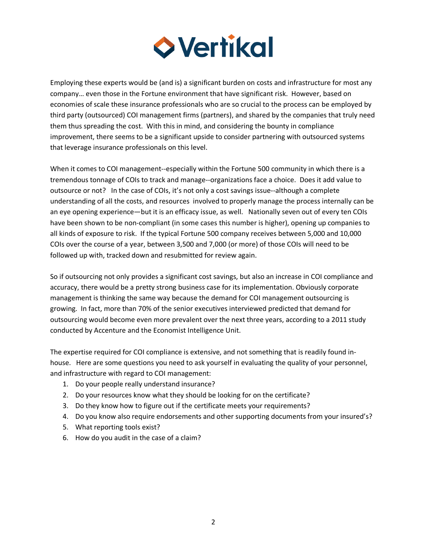

Employing these experts would be (and is) a significant burden on costs and infrastructure for most any company… even those in the Fortune environment that have significant risk. However, based on economies of scale these insurance professionals who are so crucial to the process can be employed by third party (outsourced) COI management firms (partners), and shared by the companies that truly need them thus spreading the cost. With this in mind, and considering the bounty in compliance improvement, there seems to be a significant upside to consider partnering with outsourced systems that leverage insurance professionals on this level.

When it comes to COI management--especially within the Fortune 500 community in which there is a tremendous tonnage of COIs to track and manage--organizations face a choice. Does it add value to outsource or not? In the case of COIs, it's not only a cost savings issue--although a complete understanding of all the costs, and resources involved to properly manage the process internally can be an eye opening experience—but it is an efficacy issue, as well. Nationally seven out of every ten COIs have been shown to be non-compliant (in some cases this number is higher), opening up companies to all kinds of exposure to risk. If the typical Fortune 500 company receives between 5,000 and 10,000 COIs over the course of a year, between 3,500 and 7,000 (or more) of those COIs will need to be followed up with, tracked down and resubmitted for review again.

So if outsourcing not only provides a significant cost savings, but also an increase in COI compliance and accuracy, there would be a pretty strong business case for its implementation. Obviously corporate management is thinking the same way because the demand for COI management outsourcing is growing. In fact, more than 70% of the senior executives interviewed predicted that demand for outsourcing would become even more prevalent over the next three years, according to a 2011 study conducted by Accenture and the Economist Intelligence Unit.

The expertise required for COI compliance is extensive, and not something that is readily found inhouse. Here are some questions you need to ask yourself in evaluating the quality of your personnel, and infrastructure with regard to COI management:

- 1. Do your people really understand insurance?
- 2. Do your resources know what they should be looking for on the certificate?
- 3. Do they know how to figure out if the certificate meets your requirements?
- 4. Do you know also require endorsements and other supporting documents from your insured's?
- 5. What reporting tools exist?
- 6. How do you audit in the case of a claim?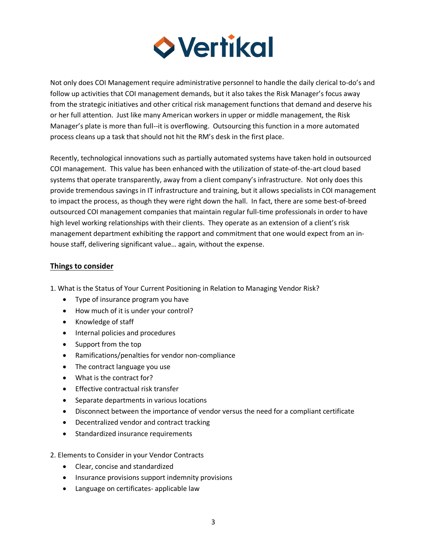

Not only does COI Management require administrative personnel to handle the daily clerical to-do's and follow up activities that COI management demands, but it also takes the Risk Manager's focus away from the strategic initiatives and other critical risk management functions that demand and deserve his or her full attention. Just like many American workers in upper or middle management, the Risk Manager's plate is more than full--it is overflowing. Outsourcing this function in a more automated process cleans up a task that should not hit the RM's desk in the first place.

Recently, technological innovations such as partially automated systems have taken hold in outsourced COI management. This value has been enhanced with the utilization of state-of-the-art cloud based systems that operate transparently, away from a client company's infrastructure. Not only does this provide tremendous savings in IT infrastructure and training, but it allows specialists in COI management to impact the process, as though they were right down the hall. In fact, there are some best-of-breed outsourced COI management companies that maintain regular full-time professionals in order to have high level working relationships with their clients. They operate as an extension of a client's risk management department exhibiting the rapport and commitment that one would expect from an inhouse staff, delivering significant value… again, without the expense.

### **Things to consider**

1. What is the Status of Your Current Positioning in Relation to Managing Vendor Risk?

- Type of insurance program you have
- How much of it is under your control?
- Knowledge of staff
- Internal policies and procedures
- Support from the top
- Ramifications/penalties for vendor non-compliance
- The contract language you use
- What is the contract for?
- Effective contractual risk transfer
- Separate departments in various locations
- Disconnect between the importance of vendor versus the need for a compliant certificate
- Decentralized vendor and contract tracking
- Standardized insurance requirements
- 2. Elements to Consider in your Vendor Contracts
	- Clear, concise and standardized
	- Insurance provisions support indemnity provisions
	- Language on certificates- applicable law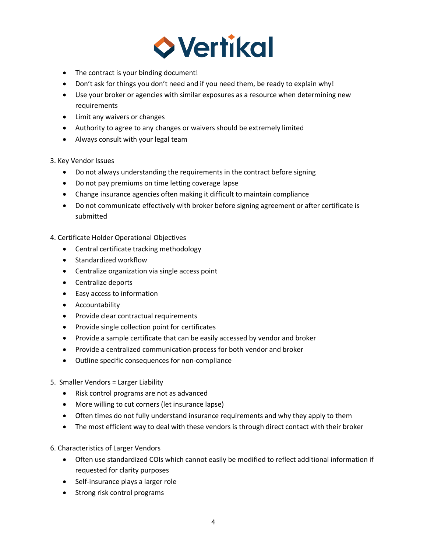

- The contract is your binding document!
- Don't ask for things you don't need and if you need them, be ready to explain why!
- Use your broker or agencies with similar exposures as a resource when determining new requirements
- Limit any waivers or changes
- Authority to agree to any changes or waivers should be extremely limited
- Always consult with your legal team

### 3. Key Vendor Issues

- Do not always understanding the requirements in the contract before signing
- Do not pay premiums on time letting coverage lapse
- Change insurance agencies often making it difficult to maintain compliance
- Do not communicate effectively with broker before signing agreement or after certificate is submitted

# 4. Certificate Holder Operational Objectives

- Central certificate tracking methodology
- Standardized workflow
- Centralize organization via single access point
- Centralize deports
- Easy access to information
- Accountability
- Provide clear contractual requirements
- Provide single collection point for certificates
- Provide a sample certificate that can be easily accessed by vendor and broker
- Provide a centralized communication process for both vendor and broker
- Outline specific consequences for non-compliance
- 5. Smaller Vendors = Larger Liability
	- Risk control programs are not as advanced
	- More willing to cut corners (let insurance lapse)
	- Often times do not fully understand insurance requirements and why they apply to them
	- The most efficient way to deal with these vendors is through direct contact with their broker
- 6. Characteristics of Larger Vendors
	- Often use standardized COIs which cannot easily be modified to reflect additional information if requested for clarity purposes
	- Self-insurance plays a larger role
	- Strong risk control programs